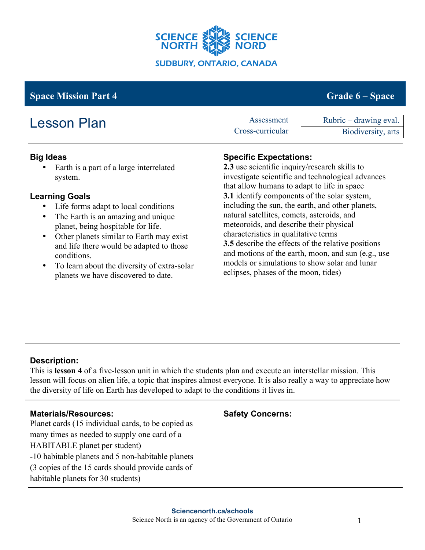

# **Space Mission Part 4 Grade 6** – **Space Grade 6** – **Space**

| <b>Lesson Plan</b>                                                                                                                                                                                                                                                                                                                                                                                                                         | Assessment<br>Cross-curricular                                                                                                                                                                                                                                                                                                                                                                                                                                                                                                                                                                                                      | Rubric - drawing eval.<br>Biodiversity, arts |
|--------------------------------------------------------------------------------------------------------------------------------------------------------------------------------------------------------------------------------------------------------------------------------------------------------------------------------------------------------------------------------------------------------------------------------------------|-------------------------------------------------------------------------------------------------------------------------------------------------------------------------------------------------------------------------------------------------------------------------------------------------------------------------------------------------------------------------------------------------------------------------------------------------------------------------------------------------------------------------------------------------------------------------------------------------------------------------------------|----------------------------------------------|
| <b>Big Ideas</b><br>Earth is a part of a large interrelated<br>system.<br><b>Learning Goals</b><br>Life forms adapt to local conditions<br>The Earth is an amazing and unique<br>planet, being hospitable for life.<br>Other planets similar to Earth may exist<br>$\bullet$<br>and life there would be adapted to those<br>conditions.<br>To learn about the diversity of extra-solar<br>$\bullet$<br>planets we have discovered to date. | <b>Specific Expectations:</b><br>2.3 use scientific inquiry/research skills to<br>investigate scientific and technological advances<br>that allow humans to adapt to life in space<br>3.1 identify components of the solar system,<br>including the sun, the earth, and other planets,<br>natural satellites, comets, asteroids, and<br>meteoroids, and describe their physical<br>characteristics in qualitative terms<br><b>3.5</b> describe the effects of the relative positions<br>and motions of the earth, moon, and sun (e.g., use<br>models or simulations to show solar and lunar<br>eclipses, phases of the moon, tides) |                                              |

## **Description:**

This is **lesson 4** of a five-lesson unit in which the students plan and execute an interstellar mission. This lesson will focus on alien life, a topic that inspires almost everyone. It is also really a way to appreciate how the diversity of life on Earth has developed to adapt to the conditions it lives in.

| <b>Materials/Resources:</b>                        | <b>Safety Concerns:</b> |
|----------------------------------------------------|-------------------------|
| Planet cards (15 individual cards, to be copied as |                         |
| many times as needed to supply one card of a       |                         |
| HABITABLE planet per student)                      |                         |
| -10 habitable planets and 5 non-habitable planets  |                         |
| (3 copies of the 15 cards should provide cards of  |                         |
| habitable planets for 30 students)                 |                         |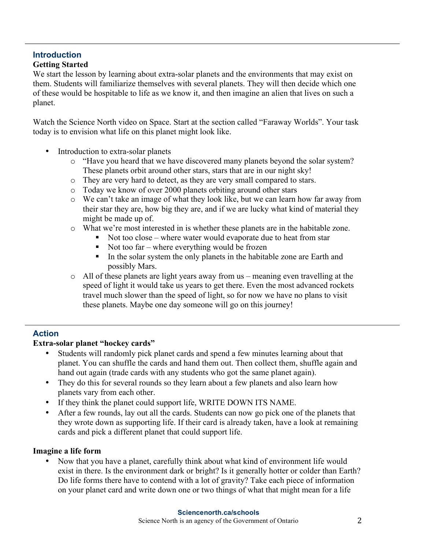#### **Introduction Getting Started**

We start the lesson by learning about extra-solar planets and the environments that may exist on them. Students will familiarize themselves with several planets. They will then decide which one of these would be hospitable to life as we know it, and then imagine an alien that lives on such a planet.

Watch the Science North video on Space. Start at the section called "Faraway Worlds". Your task today is to envision what life on this planet might look like.

- Introduction to extra-solar planets
	- o "Have you heard that we have discovered many planets beyond the solar system? These planets orbit around other stars, stars that are in our night sky!
	- o They are very hard to detect, as they are very small compared to stars.
	- o Today we know of over 2000 planets orbiting around other stars
	- o We can't take an image of what they look like, but we can learn how far away from their star they are, how big they are, and if we are lucky what kind of material they might be made up of.
	- o What we're most interested in is whether these planets are in the habitable zone.
		- Not too close where water would evaporate due to heat from star
			- $\blacksquare$  Not too far where everything would be frozen
			- In the solar system the only planets in the habitable zone are Earth and possibly Mars.
	- o All of these planets are light years away from us meaning even travelling at the speed of light it would take us years to get there. Even the most advanced rockets travel much slower than the speed of light, so for now we have no plans to visit these planets. Maybe one day someone will go on this journey!

### **Action**

### **Extra-solar planet "hockey cards"**

- Students will randomly pick planet cards and spend a few minutes learning about that planet. You can shuffle the cards and hand them out. Then collect them, shuffle again and hand out again (trade cards with any students who got the same planet again).
- They do this for several rounds so they learn about a few planets and also learn how planets vary from each other.
- If they think the planet could support life, WRITE DOWN ITS NAME.
- After a few rounds, lay out all the cards. Students can now go pick one of the planets that they wrote down as supporting life. If their card is already taken, have a look at remaining cards and pick a different planet that could support life.

### **Imagine a life form**

• Now that you have a planet, carefully think about what kind of environment life would exist in there. Is the environment dark or bright? Is it generally hotter or colder than Earth? Do life forms there have to contend with a lot of gravity? Take each piece of information on your planet card and write down one or two things of what that might mean for a life